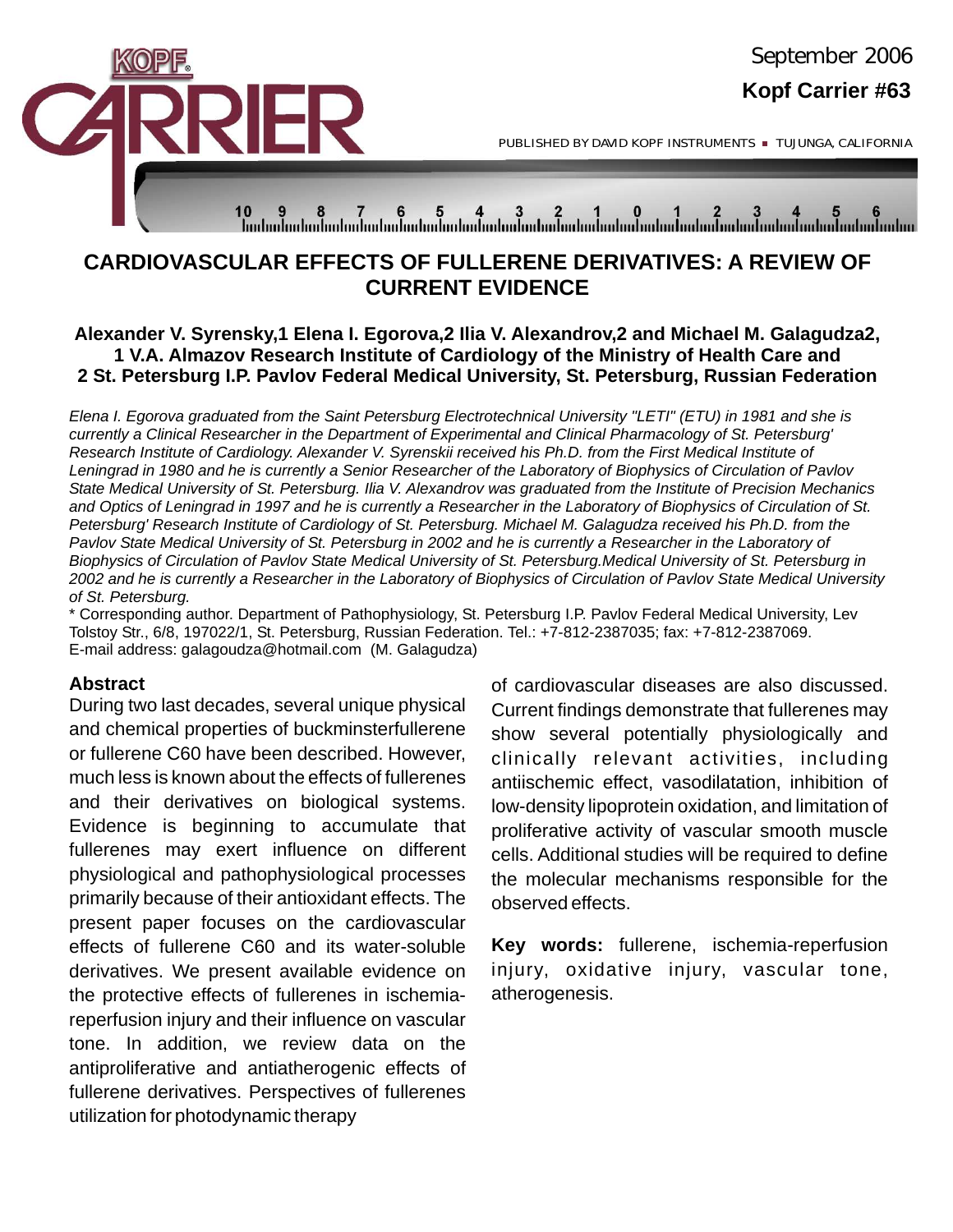

PUBLISHED BY DAVID KOPF INSTRUMENTS TUJUNGA, CALIFORNIA

# 

## **CARDIOVASCULAR EFFECTS OF FULLERENE DERIVATIVES: A REVIEW OF CURRENT EVIDENCE**

#### **Alexander V. Syrensky,1 Elena I. Egorova,2 Ilia V. Alexandrov,2 and Michael M. Galagudza2, 1 V.A. Almazov Research Institute of Cardiology of the Ministry of Health Care and 2 St. Petersburg I.P. Pavlov Federal Medical University, St. Petersburg, Russian Federation**

*Elena I. Egorova graduated from the Saint Petersburg Electrotechnical University "LETI" (ETU) in 1981 and she is currently a Clinical Researcher in the Department of Experimental and Clinical Pharmacology of St. Petersburg' Research Institute of Cardiology. Alexander V. Syrenskii received his Ph.D. from the First Medical Institute of Leningrad in 1980 and he is currently a Senior Researcher of the Laboratory of Biophysics of Circulation of Pavlov State Medical University of St. Petersburg. Ilia V. Alexandrov was graduated from the Institute of Precision Mechanics and Optics of Leningrad in 1997 and he is currently a Researcher in the Laboratory of Biophysics of Circulation of St. Petersburg' Research Institute of Cardiology of St. Petersburg. Michael M. Galagudza received his Ph.D. from the*  Pavlov State Medical University of St. Petersburg in 2002 and he is currently a Researcher in the Laboratory of *Biophysics of Circulation of Pavlov State Medical University of St. Petersburg.Medical University of St. Petersburg in 2002 and he is currently a Researcher in the Laboratory of Biophysics of Circulation of Pavlov State Medical University of St. Petersburg.*

\* Corresponding author. Department of Pathophysiology, St. Petersburg I.P. Pavlov Federal Medical University, Lev Tolstoy Str., 6/8, 197022/1, St. Petersburg, Russian Federation. Tel.: +7-812-2387035; fax: +7-812-2387069. E-mail address: galagoudza@hotmail.com (M. Galagudza)

#### **Abstract**

During two last decades, several unique physical and chemical properties of buckminsterfullerene or fullerene C60 have been described. However, much less is known about the effects of fullerenes and their derivatives on biological systems. Evidence is beginning to accumulate that fullerenes may exert influence on different physiological and pathophysiological processes primarily because of their antioxidant effects. The present paper focuses on the cardiovascular effects of fullerene C60 and its water-soluble derivatives. We present available evidence on the protective effects of fullerenes in ischemiareperfusion injury and their influence on vascular tone. In addition, we review data on the antiproliferative and antiatherogenic effects of fullerene derivatives. Perspectives of fullerenes utilization for photodynamic therapy

of cardiovascular diseases are also discussed. Current findings demonstrate that fullerenes may show several potentially physiologically and clinically relevant activities, including antiischemic effect, vasodilatation, inhibition of low-density lipoprotein oxidation, and limitation of proliferative activity of vascular smooth muscle cells. Additional studies will be required to define the molecular mechanisms responsible for the observed effects.

**Key words:** fullerene, ischemia-reperfusion injury, oxidative injury, vascular tone, atherogenesis.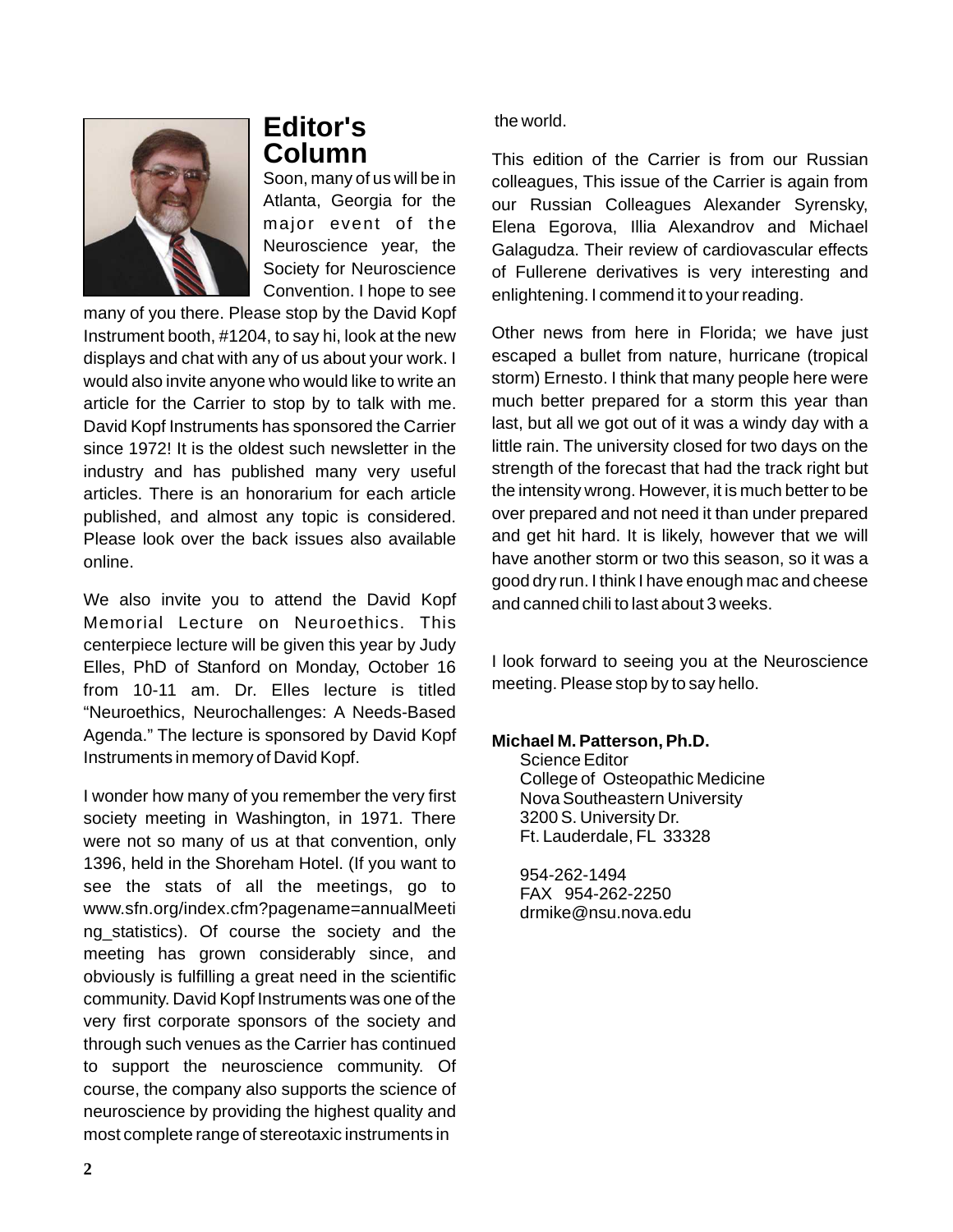

# **Editor's Column**

Soon, many of us will be in Atlanta, Georgia for the major event of the Neuroscience year, the Society for Neuroscience Convention. I hope to see

many of you there. Please stop by the David Kopf Instrument booth, #1204, to say hi, look at the new displays and chat with any of us about your work. I would also invite anyone who would like to write an article for the Carrier to stop by to talk with me. David Kopf Instruments has sponsored the Carrier since 1972! It is the oldest such newsletter in the industry and has published many very useful articles. There is an honorarium for each article published, and almost any topic is considered. Please look over the back issues also available online.

We also invite you to attend the David Kopf Memorial Lecture on Neuroethics. This centerpiece lecture will be given this year by Judy Elles, PhD of Stanford on Monday, October 16 from 10-11 am. Dr. Elles lecture is titled "Neuroethics, Neurochallenges: A Needs-Based Agenda." The lecture is sponsored by David Kopf Instruments in memory of David Kopf.

I wonder how many of you remember the very first society meeting in Washington, in 1971. There were not so many of us at that convention, only 1396, held in the Shoreham Hotel. (If you want to see the stats of all the meetings, go to www.sfn.org/index.cfm?pagename=annualMeeti ng statistics). Of course the society and the meeting has grown considerably since, and obviously is fulfilling a great need in the scientific community. David Kopf Instruments was one of the very first corporate sponsors of the society and through such venues as the Carrier has continued to support the neuroscience community. Of course, the company also supports the science of neuroscience by providing the highest quality and most complete range of stereotaxic instruments in

#### the world.

This edition of the Carrier is from our Russian colleagues, This issue of the Carrier is again from our Russian Colleagues Alexander Syrensky, Elena Egorova, Illia Alexandrov and Michael Galagudza. Their review of cardiovascular effects of Fullerene derivatives is very interesting and enlightening. I commend it to your reading.

Other news from here in Florida; we have just escaped a bullet from nature, hurricane (tropical storm) Ernesto. I think that many people here were much better prepared for a storm this year than last, but all we got out of it was a windy day with a little rain. The university closed for two days on the strength of the forecast that had the track right but the intensity wrong. However, it is much better to be over prepared and not need it than under prepared and get hit hard. It is likely, however that we will have another storm or two this season, so it was a good dry run. I think I have enough mac and cheese and canned chili to last about 3 weeks.

I look forward to seeing you at the Neuroscience meeting. Please stop by to say hello.

#### **Michael M. Patterson, Ph.D.**

Science Editor College of Osteopathic Medicine Nova Southeastern University 3200 S. University Dr. Ft. Lauderdale, FL 33328

954-262-1494 FAX 954-262-2250 drmike@nsu.nova.edu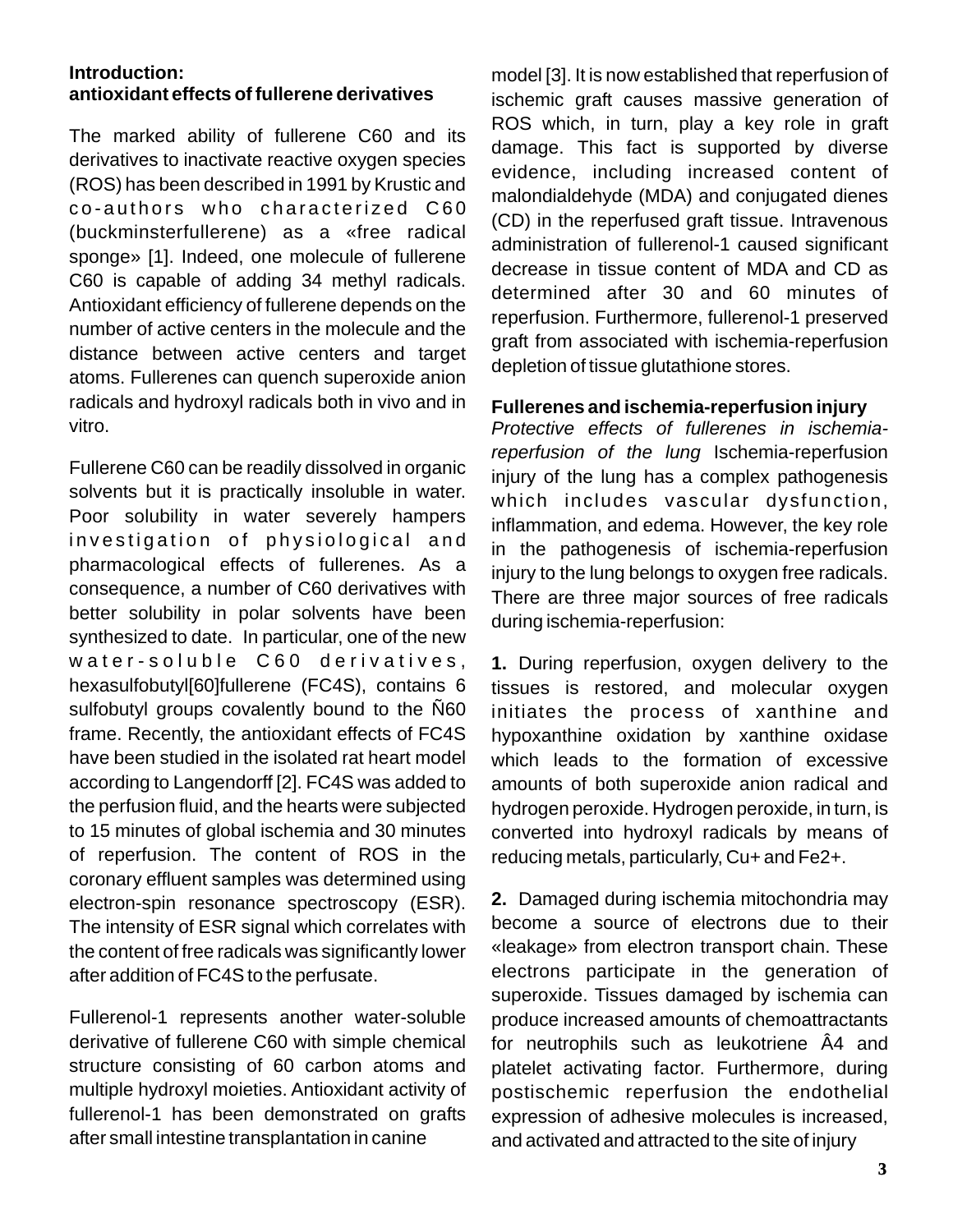#### **Introduction: antioxidant effects of fullerene derivatives**

The marked ability of fullerene C60 and its derivatives to inactivate reactive oxygen species (ROS) has been described in 1991 by Krustic and co-authors who characterized C60 (buckminsterfullerene) as a «free radical sponge» [1]. Indeed, one molecule of fullerene C60 is capable of adding 34 methyl radicals. Antioxidant efficiency of fullerene depends on the number of active centers in the molecule and the distance between active centers and target atoms. Fullerenes can quench superoxide anion radicals and hydroxyl radicals both in vivo and in vitro.

Fullerene C60 can be readily dissolved in organic solvents but it is practically insoluble in water. Poor solubility in water severely hampers investigation of physiological and pharmacological effects of fullerenes. As a consequence, a number of C60 derivatives with better solubility in polar solvents have been synthesized to date. In particular, one of the new water-soluble C60 derivatives, hexasulfobutyl[60]fullerene (FC4S), contains 6 sulfobutyl groups covalently bound to the Ñ60 frame. Recently, the antioxidant effects of FC4S have been studied in the isolated rat heart model according to Langendorff [2]. FC4S was added to the perfusion fluid, and the hearts were subjected to 15 minutes of global ischemia and 30 minutes of reperfusion. The content of ROS in the coronary effluent samples was determined using electron-spin resonance spectroscopy (ESR). The intensity of ESR signal which correlates with the content of free radicals was significantly lower after addition of FC4S to the perfusate.

Fullerenol-1 represents another water-soluble derivative of fullerene C60 with simple chemical structure consisting of 60 carbon atoms and multiple hydroxyl moieties. Antioxidant activity of fullerenol-1 has been demonstrated on grafts after small intestine transplantation in canine

model [3]. It is now established that reperfusion of ischemic graft causes massive generation of ROS which, in turn, play a key role in graft damage. This fact is supported by diverse evidence, including increased content of malondialdehyde (MDA) and conjugated dienes (CD) in the reperfused graft tissue. Intravenous administration of fullerenol-1 caused significant decrease in tissue content of MDA and CD as determined after 30 and 60 minutes of reperfusion. Furthermore, fullerenol-1 preserved graft from associated with ischemia-reperfusion depletion of tissue glutathione stores.

#### **Fullerenes and ischemia-reperfusion injury**

*Protective effects of fullerenes in ischemiareperfusion of the lung* Ischemia-reperfusion injury of the lung has a complex pathogenesis which includes vascular dysfunction, inflammation, and edema. However, the key role in the pathogenesis of ischemia-reperfusion injury to the lung belongs to oxygen free radicals. There are three major sources of free radicals during ischemia-reperfusion:

**1.** During reperfusion, oxygen delivery to the tissues is restored, and molecular oxygen initiates the process of xanthine and hypoxanthine oxidation by xanthine oxidase which leads to the formation of excessive amounts of both superoxide anion radical and hydrogen peroxide. Hydrogen peroxide, in turn, is converted into hydroxyl radicals by means of reducing metals, particularly, Cu+ and Fe2+.

**2.** Damaged during ischemia mitochondria may become a source of electrons due to their «leakage» from electron transport chain. These electrons participate in the generation of superoxide. Tissues damaged by ischemia can produce increased amounts of chemoattractants for neutrophils such as leukotriene Â4 and platelet activating factor. Furthermore, during postischemic reperfusion the endothelial expression of adhesive molecules is increased, and activated and attracted to the site of injury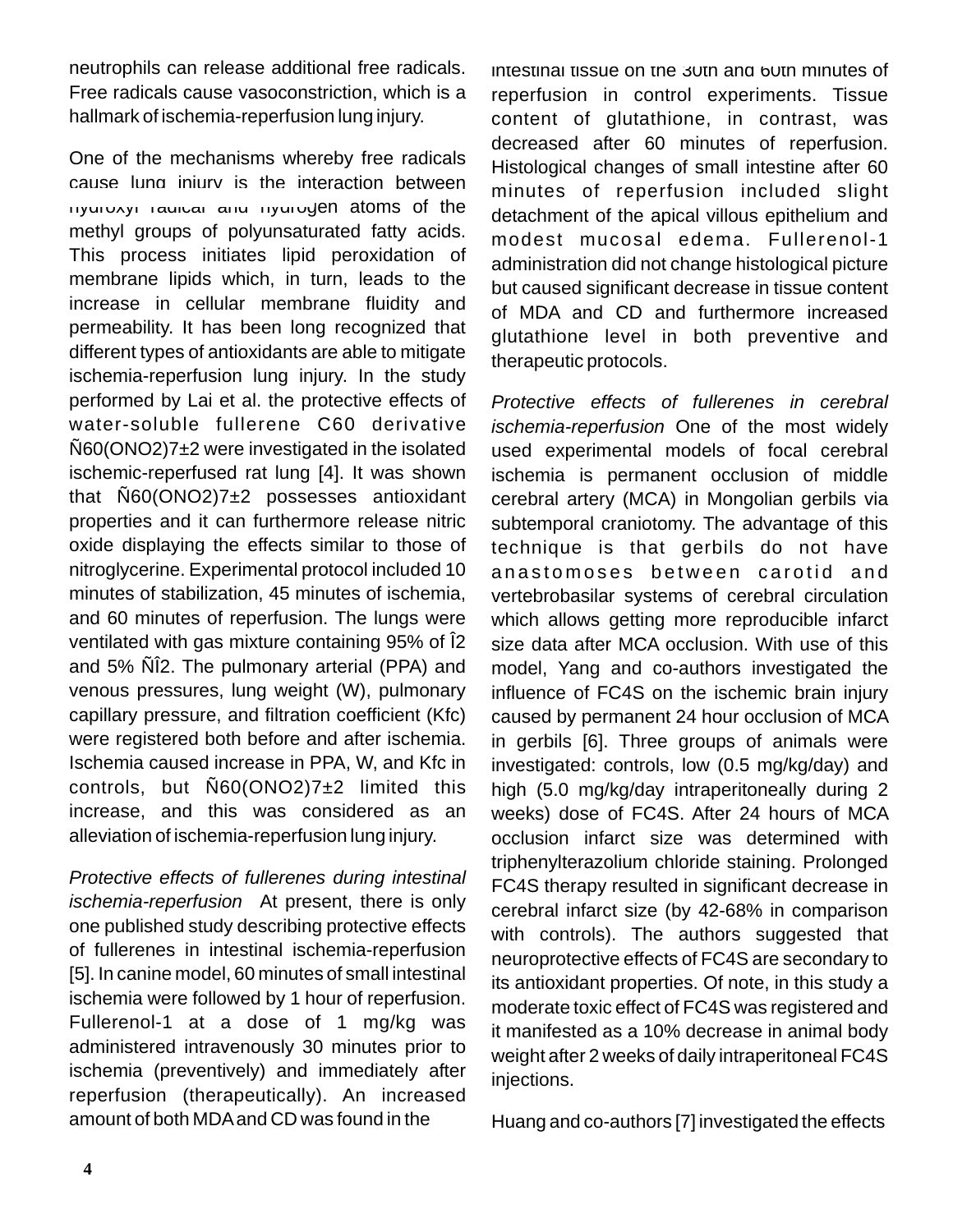neutrophils can release additional free radicals. Free radicals cause vasoconstriction, which is a hallmark of ischemia-reperfusion lung injury.

One of the mechanisms whereby free radicals cause lung injury is the interaction between hydroxyl radical and hydrogen atoms of the methyl groups of polyunsaturated fatty acids. This process initiates lipid peroxidation of membrane lipids which, in turn, leads to the increase in cellular membrane fluidity and permeability. It has been long recognized that different types of antioxidants are able to mitigate ischemia-reperfusion lung injury. In the study performed by Lai et al. the protective effects of water-soluble fullerene C60 derivative Ñ60(ONO2)7±2 were investigated in the isolated ischemic-reperfused rat lung [4]. It was shown that Ñ60(ONO2)7±2 possesses antioxidant properties and it can furthermore release nitric oxide displaying the effects similar to those of nitroglycerine. Experimental protocol included 10 minutes of stabilization, 45 minutes of ischemia, and 60 minutes of reperfusion. The lungs were ventilated with gas mixture containing 95% of Î2 and 5% ÑÎ2. The pulmonary arterial (PPA) and venous pressures, lung weight (W), pulmonary capillary pressure, and filtration coefficient (Kfc) were registered both before and after ischemia. Ischemia caused increase in PPA, W, and Kfc in controls, but  $\tilde{\text{N}}60(\text{ONO2})7\pm2$  limited this increase, and this was considered as an alleviation of ischemia-reperfusion lung injury.

*Protective effects of fullerenes during intestinal ischemia-reperfusion* At present, there is only one published study describing protective effects of fullerenes in intestinal ischemia-reperfusion [5]. In canine model, 60 minutes of small intestinal ischemia were followed by 1 hour of reperfusion. Fullerenol-1 at a dose of 1 mg/kg was administered intravenously 30 minutes prior to ischemia (preventively) and immediately after reperfusion (therapeutically). An increased amount of both MDA and CD was found in the

intestinal tissue on the 30th and 60th minutes of reperfusion in control experiments. Tissue content of glutathione, in contrast, was decreased after 60 minutes of reperfusion. Histological changes of small intestine after 60 minutes of reperfusion included slight detachment of the apical villous epithelium and modest mucosal edema. Fullerenol-1 administration did not change histological picture but caused significant decrease in tissue content of MDA and CD and furthermore increased glutathione level in both preventive and therapeutic protocols.

*Protective effects of fullerenes in cerebral ischemia-reperfusion* One of the most widely used experimental models of focal cerebral ischemia is permanent occlusion of middle cerebral artery (MCA) in Mongolian gerbils via subtemporal craniotomy. The advantage of this technique is that gerbils do not have anastomoses between carotid and vertebrobasilar systems of cerebral circulation which allows getting more reproducible infarct size data after MCA occlusion. With use of this model, Yang and co-authors investigated the influence of FC4S on the ischemic brain injury caused by permanent 24 hour occlusion of MCA in gerbils [6]. Three groups of animals were investigated: controls, low (0.5 mg/kg/day) and high (5.0 mg/kg/day intraperitoneally during 2 weeks) dose of FC4S. After 24 hours of MCA occlusion infarct size was determined with triphenylterazolium chloride staining. Prolonged FC4S therapy resulted in significant decrease in cerebral infarct size (by 42-68% in comparison with controls). The authors suggested that neuroprotective effects of FC4S are secondary to its antioxidant properties. Of note, in this study a moderate toxic effect of FC4S was registered and it manifested as a 10% decrease in animal body weight after 2 weeks of daily intraperitoneal FC4S injections.

Huang and co-authors [7] investigated the effects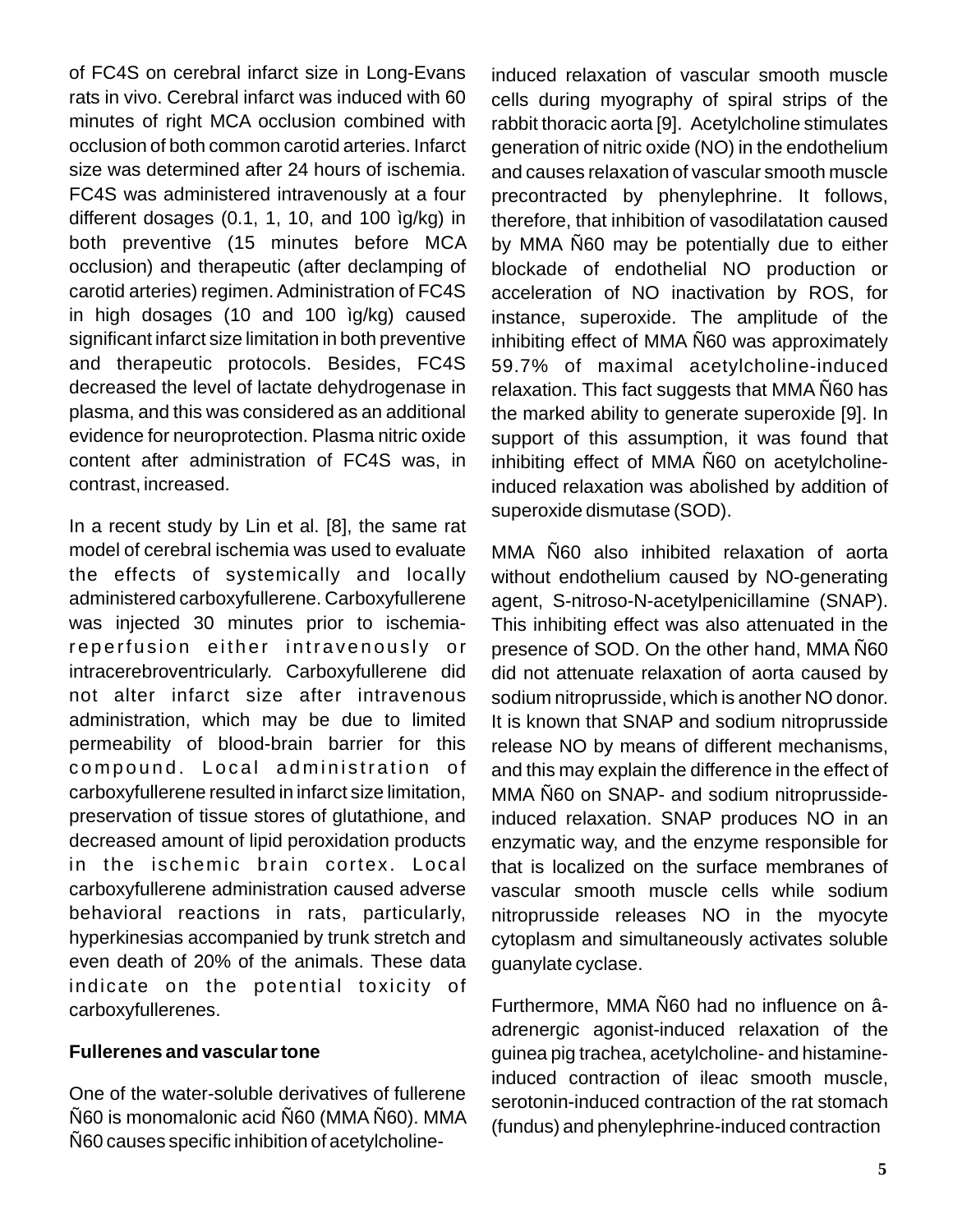of FC4S on cerebral infarct size in Long-Evans rats in vivo. Cerebral infarct was induced with 60 minutes of right MCA occlusion combined with occlusion of both common carotid arteries. Infarct size was determined after 24 hours of ischemia. FC4S was administered intravenously at a four different dosages (0.1, 1, 10, and 100 ìg/kg) in both preventive (15 minutes before MCA occlusion) and therapeutic (after declamping of carotid arteries) regimen. Administration of FC4S in high dosages (10 and 100 ìg/kg) caused significant infarct size limitation in both preventive and therapeutic protocols. Besides, FC4S decreased the level of lactate dehydrogenase in plasma, and this was considered as an additional evidence for neuroprotection. Plasma nitric oxide content after administration of FC4S was, in contrast, increased.

In a recent study by Lin et al. [8], the same rat model of cerebral ischemia was used to evaluate the effects of systemically and locally administered carboxyfullerene. Carboxyfullerene was injected 30 minutes prior to ischemiareperfusion either intravenously or intracerebroventricularly. Carboxyfullerene did not alter infarct size after intravenous administration, which may be due to limited permeability of blood-brain barrier for this compound. Local administration of carboxyfullerene resulted in infarct size limitation, preservation of tissue stores of glutathione, and decreased amount of lipid peroxidation products in the ischemic brain cortex. Local carboxyfullerene administration caused adverse behavioral reactions in rats, particularly, hyperkinesias accompanied by trunk stretch and even death of 20% of the animals. These data indicate on the potential toxicity of carboxyfullerenes.

#### **Fullerenes and vascular tone**

One of the water-soluble derivatives of fullerene Ñ60 is monomalonic acid Ñ60 (MMA Ñ60). MMA Ñ60 causes specific inhibition of acetylcholineinduced relaxation of vascular smooth muscle cells during myography of spiral strips of the rabbit thoracic aorta [9]. Acetylcholine stimulates generation of nitric oxide (NO) in the endothelium and causes relaxation of vascular smooth muscle precontracted by phenylephrine. It follows, therefore, that inhibition of vasodilatation caused by MMA Ñ60 may be potentially due to either blockade of endothelial NO production or acceleration of NO inactivation by ROS, for instance, superoxide. The amplitude of the inhibiting effect of MMA Ñ60 was approximately 59.7% of maximal acetylcholine-induced relaxation. This fact suggests that MMA Ñ60 has the marked ability to generate superoxide [9]. In support of this assumption, it was found that inhibiting effect of MMA Ñ60 on acetylcholineinduced relaxation was abolished by addition of superoxide dismutase (SOD).

MMA Ñ60 also inhibited relaxation of aorta without endothelium caused by NO-generating agent, S-nitroso-N-acetylpenicillamine (SNAP). This inhibiting effect was also attenuated in the presence of SOD. On the other hand, MMA Ñ60 did not attenuate relaxation of aorta caused by sodium nitroprusside, which is another NO donor. It is known that SNAP and sodium nitroprusside release NO by means of different mechanisms, and this may explain the difference in the effect of MMA Ñ60 on SNAP- and sodium nitroprussideinduced relaxation. SNAP produces NO in an enzymatic way, and the enzyme responsible for that is localized on the surface membranes of vascular smooth muscle cells while sodium nitroprusside releases NO in the myocyte cytoplasm and simultaneously activates soluble guanylate cyclase.

Furthermore, MMA Ñ60 had no influence on âadrenergic agonist-induced relaxation of the guinea pig trachea, acetylcholine- and histamineinduced contraction of ileac smooth muscle, serotonin-induced contraction of the rat stomach (fundus) and phenylephrine-induced contraction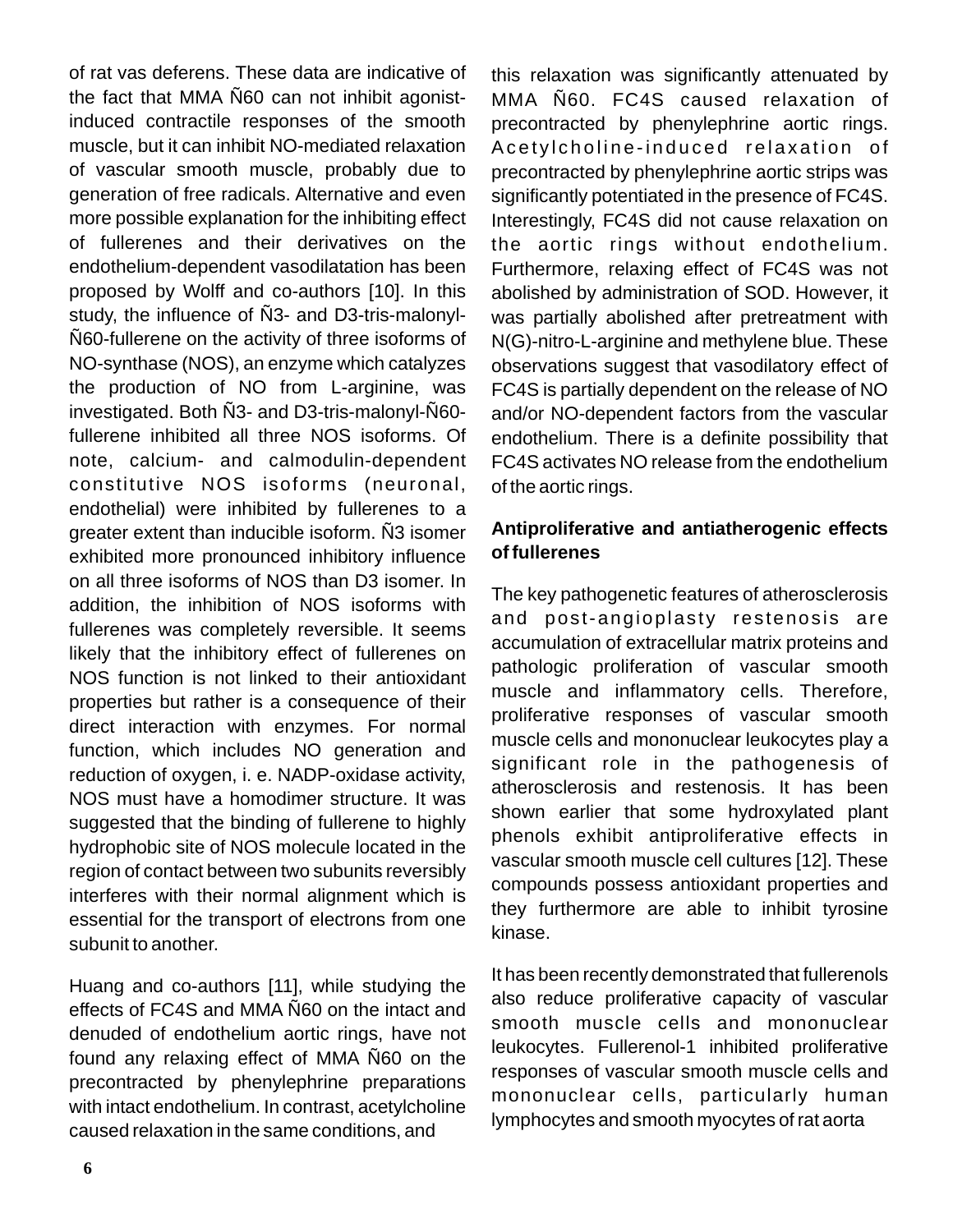of rat vas deferens. These data are indicative of the fact that MMA Ñ60 can not inhibit agonistinduced contractile responses of the smooth muscle, but it can inhibit NO-mediated relaxation of vascular smooth muscle, probably due to generation of free radicals. Alternative and even more possible explanation for the inhibiting effect of fullerenes and their derivatives on the endothelium-dependent vasodilatation has been proposed by Wolff and co-authors [10]. In this study, the influence of Ñ3- and D3-tris-malonyl-Ñ60-fullerene on the activity of three isoforms of NO-synthase (NOS), an enzyme which catalyzes the production of NO from L-arginine, was investigated. Both Ñ3- and D3-tris-malonyl-Ñ60 fullerene inhibited all three NOS isoforms. Of note, calcium- and calmodulin-dependent constitutive NOS isoforms (neuronal, endothelial) were inhibited by fullerenes to a greater extent than inducible isoform. Ñ3 isomer exhibited more pronounced inhibitory influence on all three isoforms of NOS than D3 isomer. In addition, the inhibition of NOS isoforms with fullerenes was completely reversible. It seems likely that the inhibitory effect of fullerenes on NOS function is not linked to their antioxidant properties but rather is a consequence of their direct interaction with enzymes. For normal function, which includes NO generation and reduction of oxygen, i. e. NADP-oxidase activity, NOS must have a homodimer structure. It was suggested that the binding of fullerene to highly hydrophobic site of NOS molecule located in the region of contact between two subunits reversibly interferes with their normal alignment which is essential for the transport of electrons from one subunit to another.

Huang and co-authors [11], while studying the effects of FC4S and MMA Ñ60 on the intact and denuded of endothelium aortic rings, have not found any relaxing effect of MMA Ñ60 on the precontracted by phenylephrine preparations with intact endothelium. In contrast, acetylcholine caused relaxation in the same conditions, and

this relaxation was significantly attenuated by MMA Ñ60. FC4S caused relaxation of precontracted by phenylephrine aortic rings. Acetylcholine-induced relaxation of precontracted by phenylephrine aortic strips was significantly potentiated in the presence of FC4S. Interestingly, FC4S did not cause relaxation on the aortic rings without endothelium. Furthermore, relaxing effect of FC4S was not abolished by administration of SOD. However, it was partially abolished after pretreatment with N(G)-nitro-L-arginine and methylene blue. These observations suggest that vasodilatory effect of FC4S is partially dependent on the release of NO and/or NO-dependent factors from the vascular endothelium. There is a definite possibility that FC4S activates NO release from the endothelium of the aortic rings.

### **Antiproliferative and antiatherogenic effects of fullerenes**

The key pathogenetic features of atherosclerosis and post-angioplasty restenosis are accumulation of extracellular matrix proteins and pathologic proliferation of vascular smooth muscle and inflammatory cells. Therefore, proliferative responses of vascular smooth muscle cells and mononuclear leukocytes play a significant role in the pathogenesis of atherosclerosis and restenosis. It has been shown earlier that some hydroxylated plant phenols exhibit antiproliferative effects in vascular smooth muscle cell cultures [12]. These compounds possess antioxidant properties and they furthermore are able to inhibit tyrosine kinase.

It has been recently demonstrated that fullerenols also reduce proliferative capacity of vascular smooth muscle cells and mononuclear leukocytes. Fullerenol-1 inhibited proliferative responses of vascular smooth muscle cells and mononuclear cells, particularly human lymphocytes and smooth myocytes of rat aorta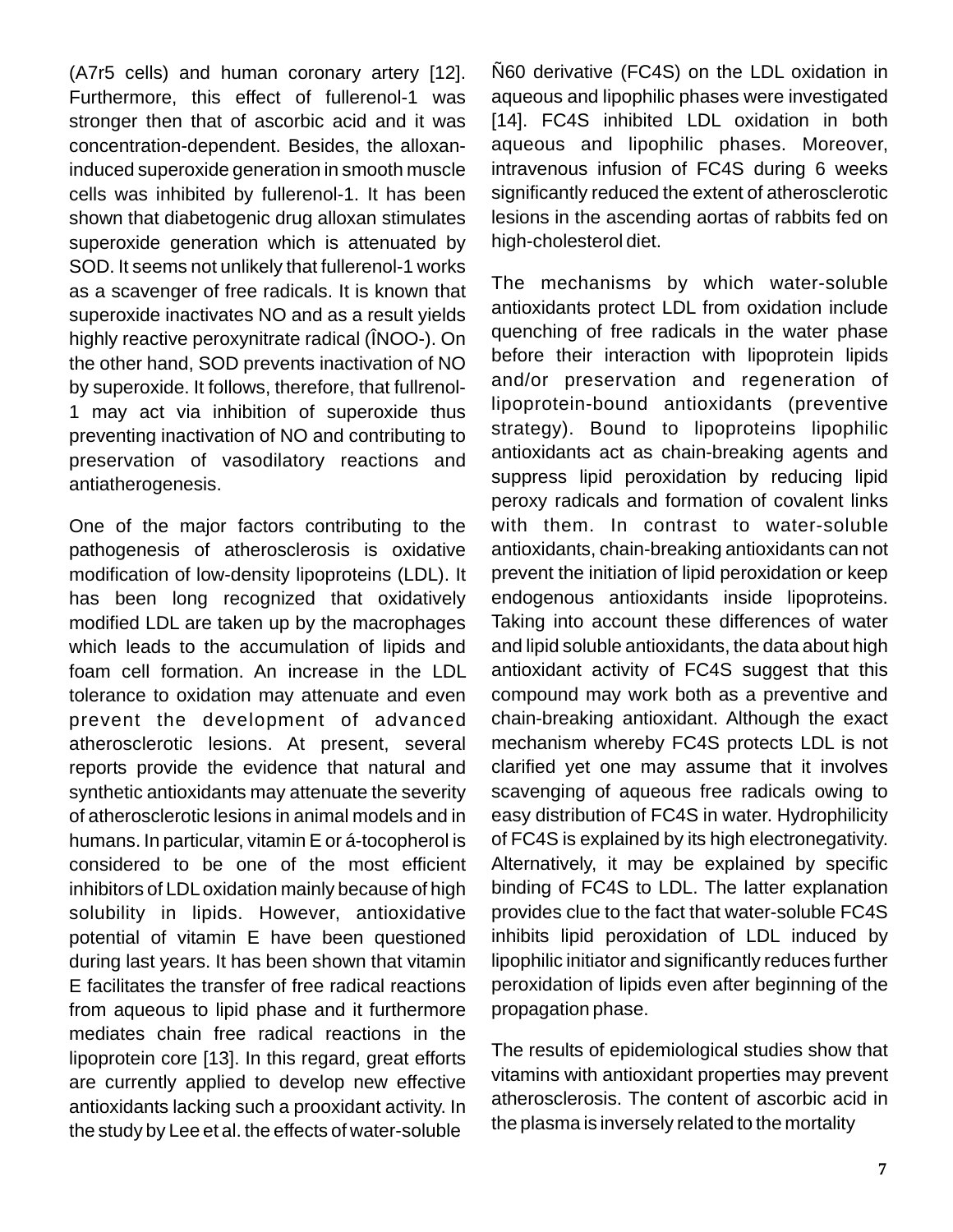(A7r5 cells) and human coronary artery [12]. Furthermore, this effect of fullerenol-1 was stronger then that of ascorbic acid and it was concentration-dependent. Besides, the alloxaninduced superoxide generation in smooth muscle cells was inhibited by fullerenol-1. It has been shown that diabetogenic drug alloxan stimulates superoxide generation which is attenuated by SOD. It seems not unlikely that fullerenol-1 works as a scavenger of free radicals. It is known that superoxide inactivates NO and as a result yields highly reactive peroxynitrate radical (ÎNOO-). On the other hand, SOD prevents inactivation of NO by superoxide. It follows, therefore, that fullrenol-1 may act via inhibition of superoxide thus preventing inactivation of NO and contributing to preservation of vasodilatory reactions and antiatherogenesis.

One of the major factors contributing to the pathogenesis of atherosclerosis is oxidative modification of low-density lipoproteins (LDL). It has been long recognized that oxidatively modified LDL are taken up by the macrophages which leads to the accumulation of lipids and foam cell formation. An increase in the LDL tolerance to oxidation may attenuate and even prevent the development of advanced atherosclerotic lesions. At present, several reports provide the evidence that natural and synthetic antioxidants may attenuate the severity of atherosclerotic lesions in animal models and in humans. In particular, vitamin E or á-tocopherol is considered to be one of the most efficient inhibitors of LDL oxidation mainly because of high solubility in lipids. However, antioxidative potential of vitamin E have been questioned during last years. It has been shown that vitamin E facilitates the transfer of free radical reactions from aqueous to lipid phase and it furthermore mediates chain free radical reactions in the lipoprotein core [13]. In this regard, great efforts are currently applied to develop new effective antioxidants lacking such a prooxidant activity. In the study by Lee et al. the effects of water-soluble

Ñ60 derivative (FC4S) on the LDL oxidation in aqueous and lipophilic phases were investigated [14]. FC4S inhibited LDL oxidation in both aqueous and lipophilic phases. Moreover, intravenous infusion of FC4S during 6 weeks significantly reduced the extent of atherosclerotic lesions in the ascending aortas of rabbits fed on high-cholesterol diet.

The mechanisms by which water-soluble antioxidants protect LDL from oxidation include quenching of free radicals in the water phase before their interaction with lipoprotein lipids and/or preservation and regeneration of lipoprotein-bound antioxidants (preventive strategy). Bound to lipoproteins lipophilic antioxidants act as chain-breaking agents and suppress lipid peroxidation by reducing lipid peroxy radicals and formation of covalent links with them. In contrast to water-soluble antioxidants, chain-breaking antioxidants can not prevent the initiation of lipid peroxidation or keep endogenous antioxidants inside lipoproteins. Taking into account these differences of water and lipid soluble antioxidants, the data about high antioxidant activity of FC4S suggest that this compound may work both as a preventive and chain-breaking antioxidant. Although the exact mechanism whereby FC4S protects LDL is not clarified yet one may assume that it involves scavenging of aqueous free radicals owing to easy distribution of FC4S in water. Hydrophilicity of FC4S is explained by its high electronegativity. Alternatively, it may be explained by specific binding of FC4S to LDL. The latter explanation provides clue to the fact that water-soluble FC4S inhibits lipid peroxidation of LDL induced by lipophilic initiator and significantly reduces further peroxidation of lipids even after beginning of the propagation phase.

The results of epidemiological studies show that vitamins with antioxidant properties may prevent atherosclerosis. The content of ascorbic acid in the plasma is inversely related to the mortality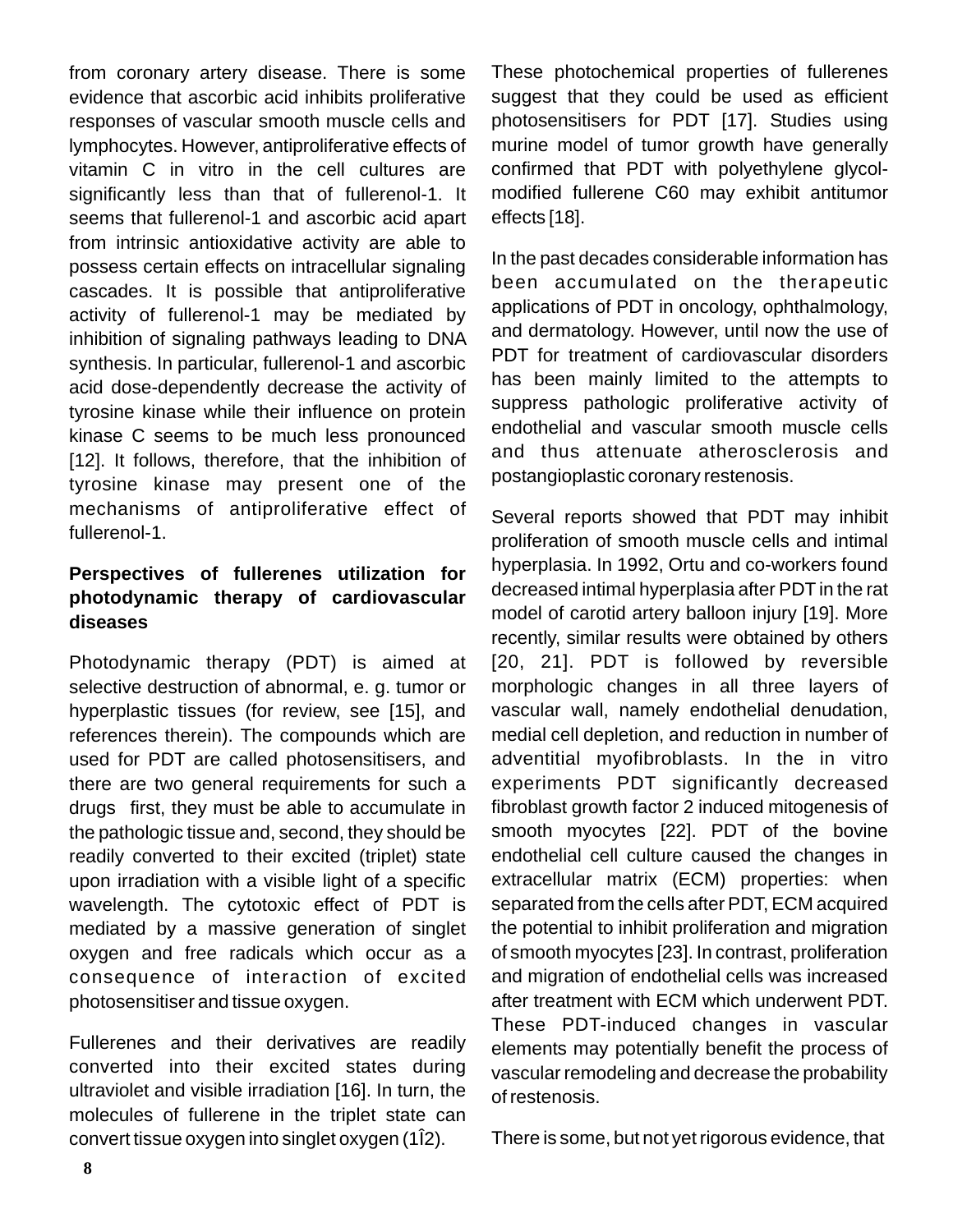from coronary artery disease. There is some evidence that ascorbic acid inhibits proliferative responses of vascular smooth muscle cells and lymphocytes. However, antiproliferative effects of vitamin C in vitro in the cell cultures are significantly less than that of fullerenol-1. It seems that fullerenol-1 and ascorbic acid apart from intrinsic antioxidative activity are able to possess certain effects on intracellular signaling cascades. It is possible that antiproliferative activity of fullerenol-1 may be mediated by inhibition of signaling pathways leading to DNA synthesis. In particular, fullerenol-1 and ascorbic acid dose-dependently decrease the activity of tyrosine kinase while their influence on protein kinase C seems to be much less pronounced [12]. It follows, therefore, that the inhibition of tyrosine kinase may present one of the mechanisms of antiproliferative effect of fullerenol-1.

## **Perspectives of fullerenes utilization for photodynamic therapy of cardiovascular diseases**

Photodynamic therapy (PDT) is aimed at selective destruction of abnormal, e. g. tumor or hyperplastic tissues (for review, see [15], and references therein). The compounds which are used for PDT are called photosensitisers, and there are two general requirements for such a drugs first, they must be able to accumulate in the pathologic tissue and, second, they should be readily converted to their excited (triplet) state upon irradiation with a visible light of a specific wavelength. The cytotoxic effect of PDT is mediated by a massive generation of singlet oxygen and free radicals which occur as a consequence of interaction of excited photosensitiser and tissue oxygen.

Fullerenes and their derivatives are readily converted into their excited states during ultraviolet and visible irradiation [16]. In turn, the molecules of fullerene in the triplet state can convert tissue oxygen into singlet oxygen (1Î2).

These photochemical properties of fullerenes suggest that they could be used as efficient photosensitisers for PDT [17]. Studies using murine model of tumor growth have generally confirmed that PDT with polyethylene glycolmodified fullerene C60 may exhibit antitumor effects [18].

In the past decades considerable information has been accumulated on the therapeutic applications of PDT in oncology, ophthalmology, and dermatology. However, until now the use of PDT for treatment of cardiovascular disorders has been mainly limited to the attempts to suppress pathologic proliferative activity of endothelial and vascular smooth muscle cells and thus attenuate atherosclerosis and postangioplastic coronary restenosis.

Several reports showed that PDT may inhibit proliferation of smooth muscle cells and intimal hyperplasia. In 1992, Ortu and co-workers found decreased intimal hyperplasia after PDT in the rat model of carotid artery balloon injury [19]. More recently, similar results were obtained by others [20, 21]. PDT is followed by reversible morphologic changes in all three layers of vascular wall, namely endothelial denudation, medial cell depletion, and reduction in number of adventitial myofibroblasts. In the in vitro experiments PDT significantly decreased fibroblast growth factor 2 induced mitogenesis of smooth myocytes [22]. PDT of the bovine endothelial cell culture caused the changes in extracellular matrix (ECM) properties: when separated from the cells after PDT, ECM acquired the potential to inhibit proliferation and migration of smooth myocytes [23]. In contrast, proliferation and migration of endothelial cells was increased after treatment with ECM which underwent PDT. These PDT-induced changes in vascular elements may potentially benefit the process of vascular remodeling and decrease the probability of restenosis.

There is some, but not yet rigorous evidence, that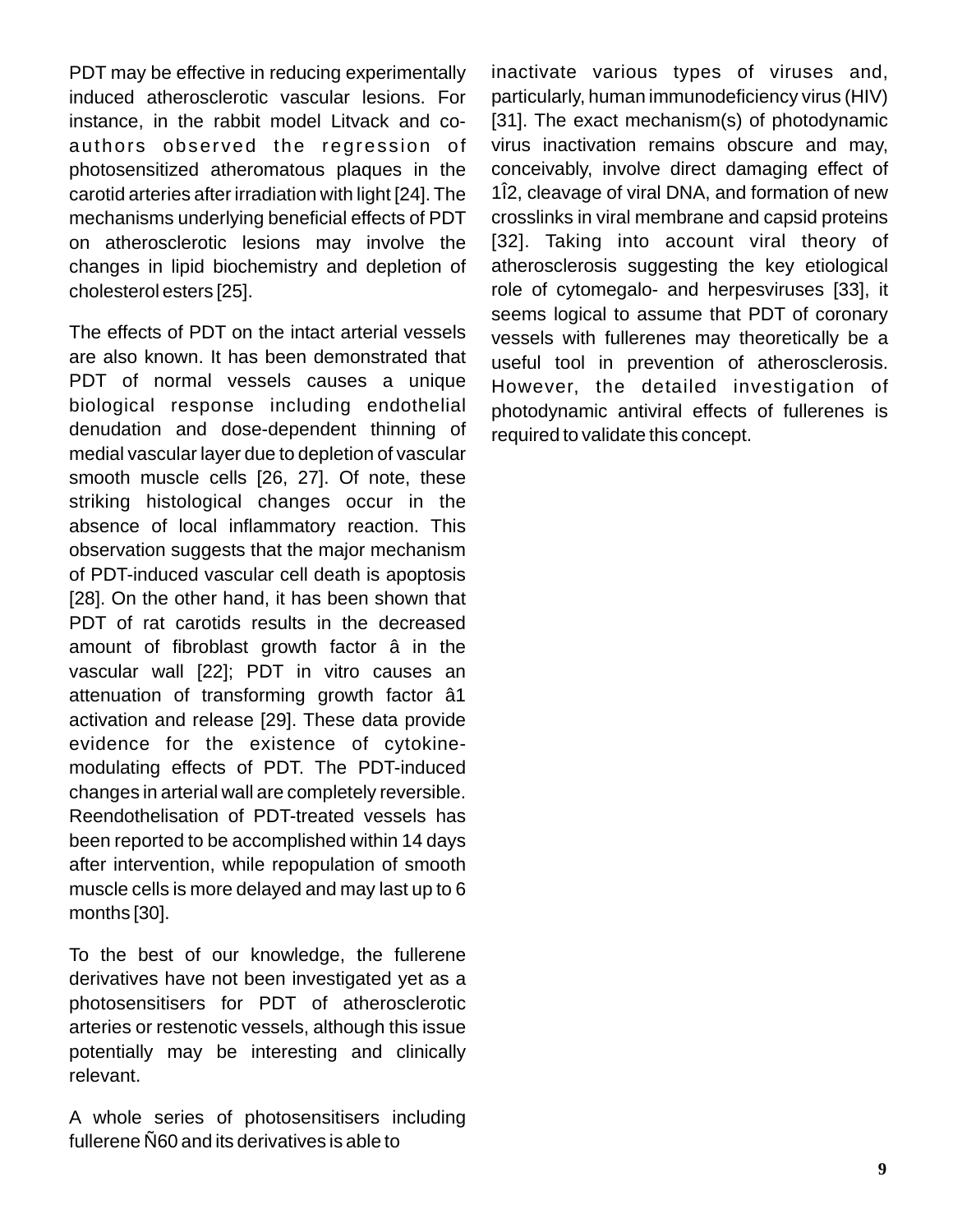PDT may be effective in reducing experimentally induced atherosclerotic vascular lesions. For instance, in the rabbit model Litvack and coauthors observed the regression of photosensitized atheromatous plaques in the carotid arteries after irradiation with light [24]. The mechanisms underlying beneficial effects of PDT on atherosclerotic lesions may involve the changes in lipid biochemistry and depletion of cholesterol esters [25].

The effects of PDT on the intact arterial vessels are also known. It has been demonstrated that PDT of normal vessels causes a unique biological response including endothelial denudation and dose-dependent thinning of medial vascular layer due to depletion of vascular smooth muscle cells [26, 27]. Of note, these striking histological changes occur in the absence of local inflammatory reaction. This observation suggests that the major mechanism of PDT-induced vascular cell death is apoptosis [28]. On the other hand, it has been shown that PDT of rat carotids results in the decreased amount of fibroblast growth factor â in the vascular wall [22]; PDT in vitro causes an attenuation of transforming growth factor â1 activation and release [29]. These data provide evidence for the existence of cytokinemodulating effects of PDT. The PDT-induced changes in arterial wall are completely reversible. Reendothelisation of PDT-treated vessels has been reported to be accomplished within 14 days after intervention, while repopulation of smooth muscle cells is more delayed and may last up to 6 months [30].

To the best of our knowledge, the fullerene derivatives have not been investigated yet as a photosensitisers for PDT of atherosclerotic arteries or restenotic vessels, although this issue potentially may be interesting and clinically relevant.

A whole series of photosensitisers including fullerene Ñ60 and its derivatives is able to

inactivate various types of viruses and, particularly, human immunodeficiency virus (HIV) [31]. The exact mechanism(s) of photodynamic virus inactivation remains obscure and may, conceivably, involve direct damaging effect of 1Î2, cleavage of viral DNA, and formation of new crosslinks in viral membrane and capsid proteins [32]. Taking into account viral theory of atherosclerosis suggesting the key etiological role of cytomegalo- and herpesviruses [33], it seems logical to assume that PDT of coronary vessels with fullerenes may theoretically be a useful tool in prevention of atherosclerosis. However, the detailed investigation of photodynamic antiviral effects of fullerenes is required to validate this concept.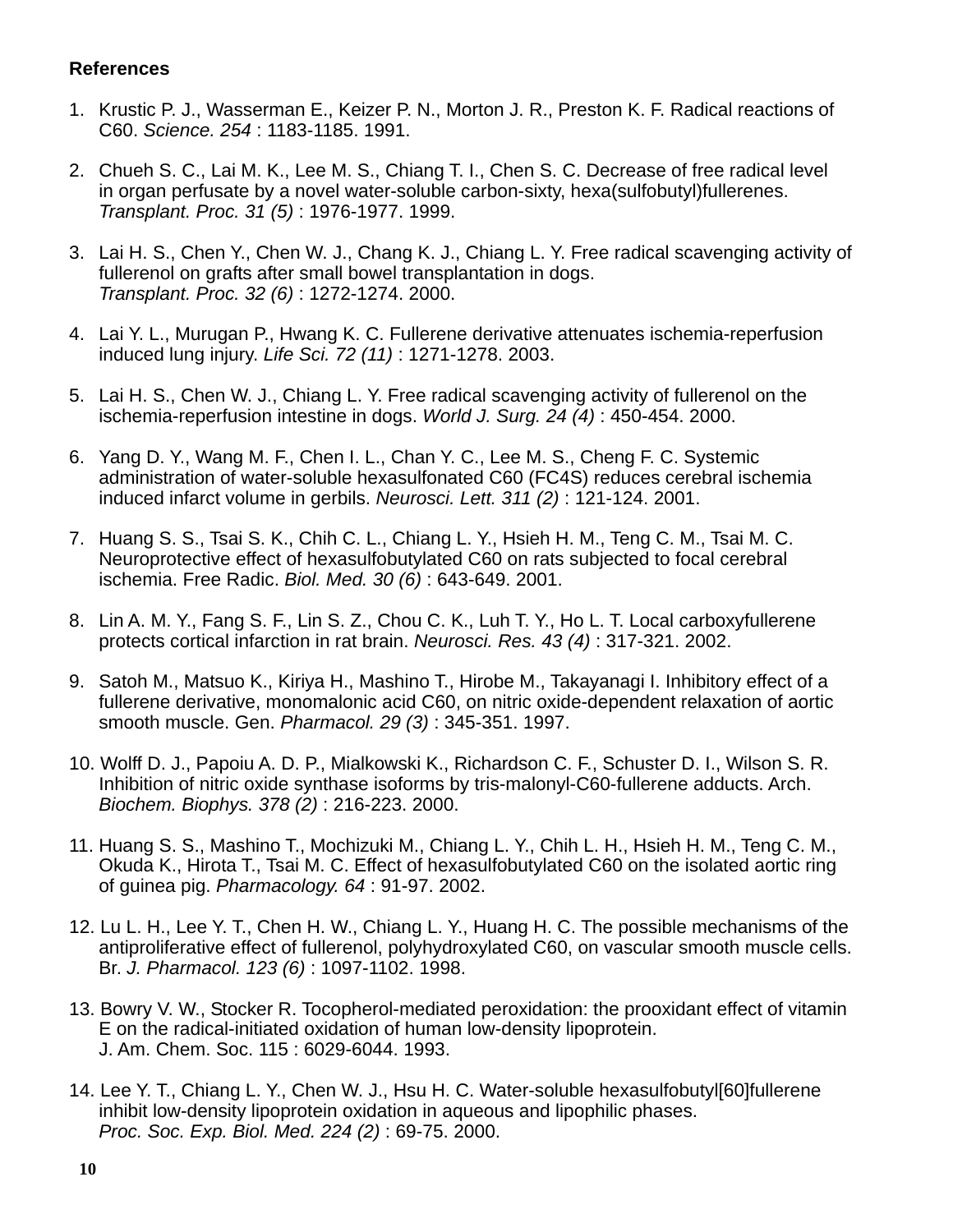#### **References**

- 1. Krustic P. J., Wasserman E., Keizer P. N., Morton J. R., Preston K. F. Radical reactions of C60. *Science. 254* : 1183-1185. 1991.
- 2. Chueh S. C., Lai M. K., Lee M. S., Chiang T. I., Chen S. C. Decrease of free radical level in organ perfusate by a novel water-soluble carbon-sixty, hexa(sulfobutyl)fullerenes. *Transplant. Proc. 31 (5)* : 1976-1977. 1999.
- 3. Lai H. S., Chen Y., Chen W. J., Chang K. J., Chiang L. Y. Free radical scavenging activity of fullerenol on grafts after small bowel transplantation in dogs. *Transplant. Proc. 32 (6)* : 1272-1274. 2000.
- 4. Lai Y. L., Murugan P., Hwang K. C. Fullerene derivative attenuates ischemia-reperfusion induced lung injury. *Life Sci. 72 (11)* : 1271-1278. 2003.
- 5. Lai H. S., Chen W. J., Chiang L. Y. Free radical scavenging activity of fullerenol on the ischemia-reperfusion intestine in dogs. *World J. Surg. 24 (4)* : 450-454. 2000.
- 6. Yang D. Y., Wang M. F., Chen I. L., Chan Y. C., Lee M. S., Cheng F. C. Systemic administration of water-soluble hexasulfonated C60 (FC4S) reduces cerebral ischemia induced infarct volume in gerbils. *Neurosci. Lett. 311 (2)* : 121-124. 2001.
- 7. Huang S. S., Tsai S. K., Chih C. L., Chiang L. Y., Hsieh H. M., Teng C. M., Tsai M. C. Neuroprotective effect of hexasulfobutylated C60 on rats subjected to focal cerebral ischemia. Free Radic. *Biol. Med. 30 (6)* : 643-649. 2001.
- 8. Lin A. M. Y., Fang S. F., Lin S. Z., Chou C. K., Luh T. Y., Ho L. T. Local carboxyfullerene protects cortical infarction in rat brain. *Neurosci. Res. 43 (4)* : 317-321. 2002.
- 9. Satoh M., Matsuo K., Kiriya H., Mashino T., Hirobe M., Takayanagi I. Inhibitory effect of a fullerene derivative, monomalonic acid C60, on nitric oxide-dependent relaxation of aortic smooth muscle. Gen. *Pharmacol. 29 (3)* : 345-351. 1997.
- 10. Wolff D. J., Papoiu A. D. P., Mialkowski K., Richardson C. F., Schuster D. I., Wilson S. R. Inhibition of nitric oxide synthase isoforms by tris-malonyl-C60-fullerene adducts. Arch. *Biochem. Biophys. 378 (2)* : 216-223. 2000.
- 11. Huang S. S., Mashino T., Mochizuki M., Chiang L. Y., Chih L. H., Hsieh H. M., Teng C. M., Okuda K., Hirota T., Tsai M. C. Effect of hexasulfobutylated C60 on the isolated aortic ring of guinea pig. *Pharmacology. 64* : 91-97. 2002.
- 12. Lu L. H., Lee Y. T., Chen H. W., Chiang L. Y., Huang H. C. The possible mechanisms of the antiproliferative effect of fullerenol, polyhydroxylated C60, on vascular smooth muscle cells. Br. *J. Pharmacol. 123 (6)* : 1097-1102. 1998.
- 13. Bowry V. W., Stocker R. Tocopherol-mediated peroxidation: the prooxidant effect of vitamin E on the radical-initiated oxidation of human low-density lipoprotein. J. Am. Chem. Soc. 115 : 6029-6044. 1993.
- 14. Lee Y. T., Chiang L. Y., Chen W. J., Hsu H. C. Water-soluble hexasulfobutyl[60]fullerene inhibit low-density lipoprotein oxidation in aqueous and lipophilic phases. *Proc. Soc. Exp. Biol. Med. 224 (2)* : 69-75. 2000.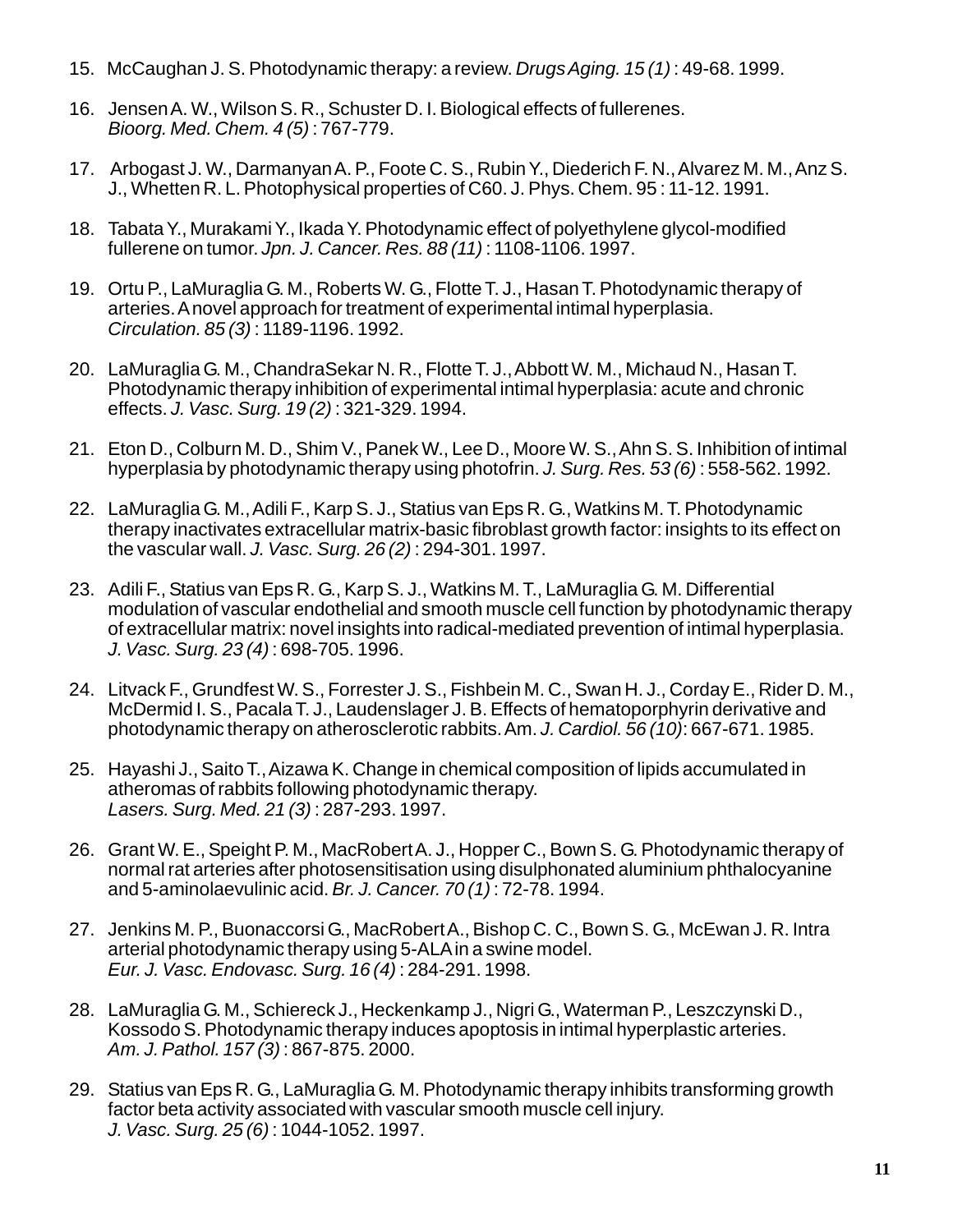- 15. McCaughan J. S. Photodynamic therapy: a review. *Drugs Aging. 15 (1)* : 49-68. 1999.
- 16. Jensen A. W., Wilson S. R., Schuster D. I. Biological effects of fullerenes. *Bioorg. Med. Chem. 4 (5)* : 767-779.
- 17. Arbogast J. W., Darmanyan A. P., Foote C. S., Rubin Y., Diederich F. N., Alvarez M. M., Anz S. J., Whetten R. L. Photophysical properties of C60. J. Phys. Chem. 95 : 11-12. 1991.
- 18. Tabata Y., Murakami Y., Ikada Y. Photodynamic effect of polyethylene glycol-modified fullerene on tumor. *Jpn. J. Cancer. Res. 88 (11)* : 1108-1106. 1997.
- 19. Ortu P., LaMuraglia G. M., Roberts W. G., Flotte T. J., Hasan T. Photodynamic therapy of arteries. A novel approach for treatment of experimental intimal hyperplasia. *Circulation. 85 (3)* : 1189-1196. 1992.
- 20. LaMuraglia G. M., ChandraSekar N. R., Flotte T. J., Abbott W. M., Michaud N., Hasan T. Photodynamic therapy inhibition of experimental intimal hyperplasia: acute and chronic effects. *J. Vasc. Surg. 19 (2)* : 321-329. 1994.
- 21. Eton D., Colburn M. D., Shim V., Panek W., Lee D., Moore W. S., Ahn S. S. Inhibition of intimal hyperplasia by photodynamic therapy using photofrin. *J. Surg. Res. 53 (6)* : 558-562. 1992.
- 22. LaMuraglia G. M., Adili F., Karp S. J., Statius van Eps R. G., Watkins M. T. Photodynamic therapy inactivates extracellular matrix-basic fibroblast growth factor: insights to its effect on the vascular wall. *J. Vasc. Surg. 26 (2)* : 294-301. 1997.
- 23. Adili F., Statius van Eps R. G., Karp S. J., Watkins M. T., LaMuraglia G. M. Differential modulation of vascular endothelial and smooth muscle cell function by photodynamic therapy of extracellular matrix: novel insights into radical-mediated prevention of intimal hyperplasia. *J. Vasc. Surg. 23 (4)* : 698-705. 1996.
- 24. Litvack F., Grundfest W. S., Forrester J. S., Fishbein M. C., Swan H. J., Corday E., Rider D. M., McDermid I. S., Pacala T. J., Laudenslager J. B. Effects of hematoporphyrin derivative and photodynamic therapy on atherosclerotic rabbits. Am. *J. Cardiol. 56 (10)*: 667-671. 1985.
- 25. Hayashi J., Saito T., Aizawa K. Change in chemical composition of lipids accumulated in atheromas of rabbits following photodynamic therapy. *Lasers. Surg. Med. 21 (3)* : 287-293. 1997.
- 26. Grant W. E., Speight P. M., MacRobert A. J., Hopper C., Bown S. G. Photodynamic therapy of normal rat arteries after photosensitisation using disulphonated aluminium phthalocyanine and 5-aminolaevulinic acid. *Br. J. Cancer. 70 (1)* : 72-78. 1994.
- 27. Jenkins M. P., Buonaccorsi G., MacRobert A., Bishop C. C., Bown S. G., McEwan J. R. Intra arterial photodynamic therapy using 5-ALA in a swine model. *Eur. J. Vasc. Endovasc. Surg. 16 (4)* : 284-291. 1998.
- 28. LaMuraglia G. M., Schiereck J., Heckenkamp J., Nigri G., Waterman P., Leszczynski D., Kossodo S. Photodynamic therapy induces apoptosis in intimal hyperplastic arteries. *Am. J. Pathol. 157 (3)* : 867-875. 2000.
- 29. Statius van Eps R. G., LaMuraglia G. M. Photodynamic therapy inhibits transforming growth factor beta activity associated with vascular smooth muscle cell injury. *J. Vasc. Surg. 25 (6)* : 1044-1052. 1997.